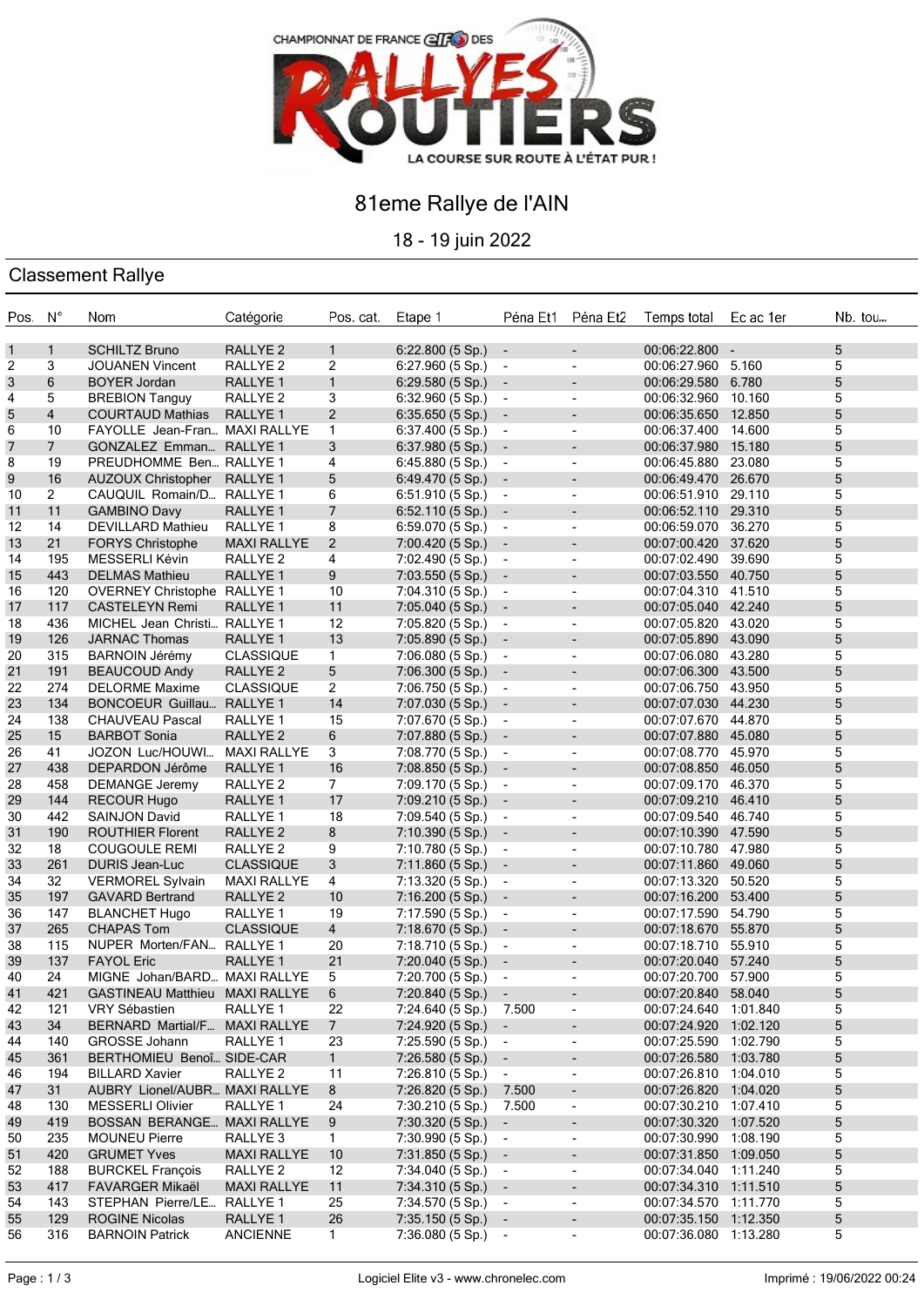

## 81eme Rallye de l'AIN

18 - 19 juin 2022

### Classement Rallye

| Pos. N°    |                | Nom                                | Catégorie           | Pos. cat.      | Etape 1                | Péna Et1 Péna Et2        |                          | Temps total Ec ac 1er | Nb. tou |
|------------|----------------|------------------------------------|---------------------|----------------|------------------------|--------------------------|--------------------------|-----------------------|---------|
| 1          | $\mathbf{1}$   | <b>SCHILTZ Bruno</b>               | RALLYE <sub>2</sub> | $\mathbf{1}$   | $6:22.800(5 Sp.)$ -    |                          |                          | $00:06:22.800 -$      | 5       |
| 2          | 3              | <b>JOUANEN Vincent</b>             | RALLYE <sub>2</sub> | 2              | 6:27.960(5 Sp.)        | $\sim$                   | $\overline{\phantom{a}}$ | 00:06:27.960 5.160    | 5       |
| $\sqrt{3}$ | 6              | <b>BOYER Jordan</b>                | RALLYE <sub>1</sub> | $\mathbf{1}$   | $6:29.580(5 Sp.)$ -    |                          | $\blacksquare$           | 00:06:29.580 6.780    | 5       |
| 4          | 5              | <b>BREBION Tanguy</b>              | RALLYE <sub>2</sub> | 3              | 6:32.960(5 Sp.)        | $\sim$                   | $\overline{\phantom{a}}$ | 00:06:32.960 10.160   | 5       |
| 5          | $\overline{4}$ | <b>COURTAUD Mathias</b>            | RALLYE <sub>1</sub> | $\overline{2}$ | $6:35.650(5 Sp.)$ -    |                          | $\overline{\phantom{a}}$ | 00:06:35.650 12.850   | 5       |
| 6          | 10             | FAYOLLE Jean-Fran MAXI RALLYE      |                     | $\mathbf{1}$   | 6:37.400(5 Sp.)        | $\sim$                   | $\overline{\phantom{a}}$ | 00:06:37.400 14.600   | 5       |
| 7          | $7^{\circ}$    | GONZALEZ Emman RALLYE 1            |                     | 3              | $6:37.980(5 Sp.)$ -    |                          | $\overline{\phantom{a}}$ | 00:06:37.980 15.180   | 5       |
| 8          | 19             | PREUDHOMME Ben RALLYE 1            |                     | 4              | 6:45.880 (5 Sp.)       | $\sim$                   | $\blacksquare$           | 00:06:45.880 23.080   | 5       |
| 9          | 16             | <b>AUZOUX Christopher</b>          | RALLYE 1            | 5              | 6:49.470(5 Sp.)        | $\overline{\phantom{a}}$ | $\overline{\phantom{a}}$ | 00:06:49.470 26.670   | 5       |
| 10         | $\overline{2}$ | CAUQUIL Romain/D RALLYE 1          |                     | 6              | 6:51.910(5 Sp.)        | $\sim$                   | $\blacksquare$           | 00:06:51.910 29.110   | 5       |
| 11         | 11             | <b>GAMBINO Davy</b>                | RALLYE <sub>1</sub> | $\overline{7}$ | 6:52.110(5 Sp.)        | $\overline{\phantom{a}}$ |                          | 00:06:52.110 29.310   | 5       |
| 12         | 14             | <b>DEVILLARD Mathieu</b>           | RALLYE 1            | 8              | 6:59.070(5 Sp.)        | $\sim$                   | $\overline{\phantom{a}}$ | 00:06:59.070 36.270   | 5       |
| 13         | 21             | <b>FORYS Christophe</b>            | <b>MAXI RALLYE</b>  | 2              | 7:00.420(5 Sp.)        | $\overline{\phantom{a}}$ | $\overline{\phantom{a}}$ | 00:07:00.420 37.620   | 5       |
| 14         | 195            | MESSERLI Kévin                     | RALLYE <sub>2</sub> | 4              | 7:02.490 (5 Sp.)       | $\sim$                   | $\overline{\phantom{a}}$ | 00:07:02.490 39.690   | 5       |
| 15         | 443            | <b>DELMAS Mathieu</b>              | RALLYE <sub>1</sub> | 9              | $7:03.550(5 Sp.)$ -    |                          | $\overline{\phantom{a}}$ | 00:07:03.550 40.750   | 5       |
| 16         | 120            | <b>OVERNEY Christophe RALLYE 1</b> |                     | 10             | 7:04.310 (5 Sp.)       | $\sim$                   | $\blacksquare$           | 00:07:04.310 41.510   | 5       |
| 17         | 117            | <b>CASTELEYN Remi</b>              | RALLYE 1            | 11             | $7:05.040(5 Sp.)$ -    |                          | $\overline{\phantom{a}}$ | 00:07:05.040 42.240   | 5       |
| 18         | 436            | MICHEL Jean Christi RALLYE 1       |                     | 12             | 7:05.820 (5 Sp.)       | $\sim$                   | $\blacksquare$           | 00:07:05.820 43.020   | 5       |
| 19         | 126            | <b>JARNAC Thomas</b>               | <b>RALLYE 1</b>     | 13             | $7:05.890(5 Sp.)$ -    |                          | $\overline{\phantom{a}}$ | 00:07:05.890 43.090   | 5       |
| 20         | 315            | <b>BARNOIN Jérémy</b>              | <b>CLASSIQUE</b>    | 1.             | 7:06.080 (5 Sp.)       | $\sim$                   | $\overline{\phantom{a}}$ | 00:07:06.080 43.280   | 5       |
| 21         | 191            | <b>BEAUCOUD Andy</b>               | RALLYE <sub>2</sub> | 5              | $7:06.300(5 Sp.)$ -    |                          | $\overline{\phantom{a}}$ | 00:07:06.300 43.500   | 5       |
| 22         | 274            | <b>DELORME Maxime</b>              | <b>CLASSIQUE</b>    | $\overline{2}$ | 7:06.750 (5 Sp.)       | $\sim$                   | $\overline{\phantom{a}}$ | 00:07:06.750 43.950   | 5       |
|            | 134            |                                    |                     | 14             |                        |                          |                          |                       | 5       |
| 23         | 138            | <b>BONCOEUR Guillau</b>            | RALLYE 1            |                | $7:07.030(5 Sp.)$ -    |                          | $\overline{\phantom{a}}$ | 00:07:07.030 44.230   | 5       |
| 24         |                | <b>CHAUVEAU Pascal</b>             | RALLYE 1            | 15             | 7:07.670 (5 Sp.)       | $\sim$                   | $\overline{\phantom{a}}$ | 00:07:07.670 44.870   |         |
| 25         | 15             | <b>BARBOT Sonia</b>                | RALLYE <sub>2</sub> | 6              | $7:07.880(5 Sp.)$ -    |                          | $\overline{\phantom{a}}$ | 00:07:07.880 45.080   | 5       |
| 26         | 41             | JOZON Luc/HOUWI                    | <b>MAXI RALLYE</b>  | 3              | 7:08.770 (5 Sp.)       | $\sim$                   | $\overline{\phantom{a}}$ | 00:07:08.770 45.970   | 5       |
| 27         | 438            | DEPARDON Jérôme                    | RALLYE <sub>1</sub> | 16             | $7:08.850(5 Sp.)$ -    |                          | $\overline{\phantom{a}}$ | 00:07:08.850 46.050   | 5       |
| 28         | 458            | <b>DEMANGE Jeremy</b>              | RALLYE 2            | 7              | 7:09.170 (5 Sp.)       | $\sim$                   | $\overline{\phantom{a}}$ | 00:07:09.170 46.370   | 5       |
| 29         | 144            | <b>RECOUR Hugo</b>                 | RALLYE 1            | 17             | $7:09.210(5 Sp.)$ -    |                          | $\blacksquare$           | 00:07:09.210 46.410   | 5       |
| 30         | 442            | <b>SAINJON David</b>               | RALLYE 1            | 18             | 7:09.540 (5 Sp.)       | $\sim$                   | $\overline{\phantom{a}}$ | 00:07:09.540 46.740   | 5       |
| 31         | 190            | <b>ROUTHIER Florent</b>            | RALLYE <sub>2</sub> | 8              | $7:10.390(5 Sp.)$ -    |                          | $\overline{\phantom{a}}$ | 00:07:10.390 47.590   | 5       |
| 32         | 18             | <b>COUGOULE REMI</b>               | RALLYE <sub>2</sub> | 9              | 7:10.780 (5 Sp.)       | $\sim$                   | $\overline{\phantom{a}}$ | 00:07:10.780 47.980   | 5       |
| 33         | 261            | <b>DURIS Jean-Luc</b>              | <b>CLASSIQUE</b>    | 3              | 7:11.860(5 Sp.)        | $\overline{\phantom{a}}$ |                          | 00:07:11.860 49.060   | 5       |
| 34         | 32             | <b>VERMOREL Sylvain</b>            | <b>MAXI RALLYE</b>  | 4              | 7:13.320 (5 Sp.)       | $\sim$                   | $\blacksquare$           | 00:07:13.320 50.520   | 5       |
| 35         | 197            | <b>GAVARD Bertrand</b>             | RALLYE <sub>2</sub> | 10             | 7:16.200(5 Sp.)        | $\overline{\phantom{a}}$ | ٠                        | 00:07:16.200 53.400   | 5       |
| 36         | 147            | <b>BLANCHET Hugo</b>               | RALLYE 1            | 19             | 7:17.590 (5 Sp.)       | $\sim$                   | $\overline{\phantom{a}}$ | 00:07:17.590 54.790   | 5       |
| 37         | 265            | <b>CHAPAS Tom</b>                  | <b>CLASSIQUE</b>    | $\overline{4}$ | 7:18.670(5 Sp.)        | $\sim$                   | $\overline{\phantom{a}}$ | 00:07:18.670 55.870   | 5       |
| 38         | 115            | NUPER Morten/FAN RALLYE 1          |                     | 20             | 7:18.710 (5 Sp.)       | $\sim$                   | $\overline{\phantom{a}}$ | 00:07:18.710 55.910   | 5       |
| 39         | 137            | <b>FAYOL Eric</b>                  | RALLYE 1            | 21             | $7:20.040(5 Sp.)$ -    |                          | $\overline{\phantom{a}}$ | 00:07:20.040 57.240   | 5       |
| 40         | 24             | MIGNE Johan/BARD MAXI RALLYE       |                     | 5              | $7:20.700(5 Sp.)$ -    |                          | $\overline{\phantom{a}}$ | 00:07:20.700 57.900   | 5       |
| 41         | 421            | GASTINEAU Matthieu MAXI RALLYE     |                     | 6              | 7:20.840 (5 Sp.) -     |                          |                          | 00:07:20.840 58.040   | 5       |
| 42         | 121            | VRY Sébastien                      | RALLYE 1            | 22             | 7:24.640 (5 Sp.)       | 7.500                    | $\blacksquare$           | 00:07:24.640 1:01.840 | 5       |
| 43         | 34             | BERNARD Martial/F MAXI RALLYE      |                     | 7 <sup>7</sup> | 7:24.920 (5 Sp.) -     |                          | $\overline{\phantom{a}}$ | 00:07:24.920 1:02.120 | 5       |
| 44         | 140            | GROSSE Johann                      | RALLYE 1            | 23             | $7:25.590(5 Sp.)$ -    |                          | $\blacksquare$           | 00:07:25.590 1:02.790 | 5       |
| 45         | 361            | BERTHOMIEU Benoî SIDE-CAR          |                     | $\mathbf{1}$   | $7:26.580(5 Sp.)$ -    |                          | ۰                        | 00:07:26.580 1:03.780 | 5       |
| 46         | 194            | <b>BILLARD Xavier</b>              | RALLYE <sub>2</sub> | 11             | $7:26.810(5 Sp.)$ -    |                          | $\overline{\phantom{a}}$ | 00:07:26.810 1:04.010 | 5       |
| 47         | 31             | AUBRY Lionel/AUBR MAXI RALLYE      |                     | 8              | 7:26.820 (5 Sp.)       | 7.500                    | $\overline{\phantom{a}}$ | 00:07:26.820 1:04.020 | 5       |
| 48         | 130            | <b>MESSERLI Olivier</b>            | RALLYE 1            | 24             | 7:30.210 (5 Sp.) 7.500 |                          | $\blacksquare$           | 00:07:30.210 1:07.410 | 5       |
| 49         | 419            | BOSSAN BERANGE MAXI RALLYE         |                     | 9              | $7:30.320(5 Sp.)$ -    |                          | $\overline{\phantom{a}}$ | 00:07:30.320 1:07.520 | 5       |
| 50         | 235            | <b>MOUNEU Pierre</b>               | RALLYE <sub>3</sub> | $\mathbf{1}$   | $7:30.990(5 Sp.)$ -    |                          | $\overline{\phantom{a}}$ | 00:07:30.990 1:08.190 | 5       |
| 51         | 420            | <b>GRUMET Yves</b>                 | <b>MAXI RALLYE</b>  | 10             | $7:31.850(5 Sp.)$ -    |                          | $\overline{\phantom{a}}$ | 00:07:31.850 1:09.050 | 5       |
| 52         | 188            | <b>BURCKEL François</b>            | RALLYE <sub>2</sub> | 12             | 7:34.040 (5 Sp.)       | $\sim$                   | $\overline{\phantom{a}}$ | 00:07:34.040 1:11.240 | 5       |
| 53         | 417            | FAVARGER Mikaël                    | <b>MAXI RALLYE</b>  | 11             | $7:34.310(5 Sp.)$ -    |                          | $\overline{\phantom{a}}$ | 00:07:34.310 1:11.510 | 5       |
| 54         | 143            | STEPHAN Pierre/LE RALLYE 1         |                     | 25             | 7:34.570 (5 Sp.) -     |                          | $\overline{\phantom{a}}$ | 00:07:34.570 1:11.770 | 5       |
| 55         | 129            | <b>ROGINE Nicolas</b>              | RALLYE 1            | 26             | $7:35.150(5 Sp.)$ -    |                          | ٠                        | 00:07:35.150 1:12.350 | 5       |
| 56         | 316            | <b>BARNOIN Patrick</b>             | <b>ANCIENNE</b>     | $\mathbf{1}$   | 7:36.080 (5 Sp.) -     |                          | $\overline{\phantom{a}}$ | 00:07:36.080 1:13.280 | 5       |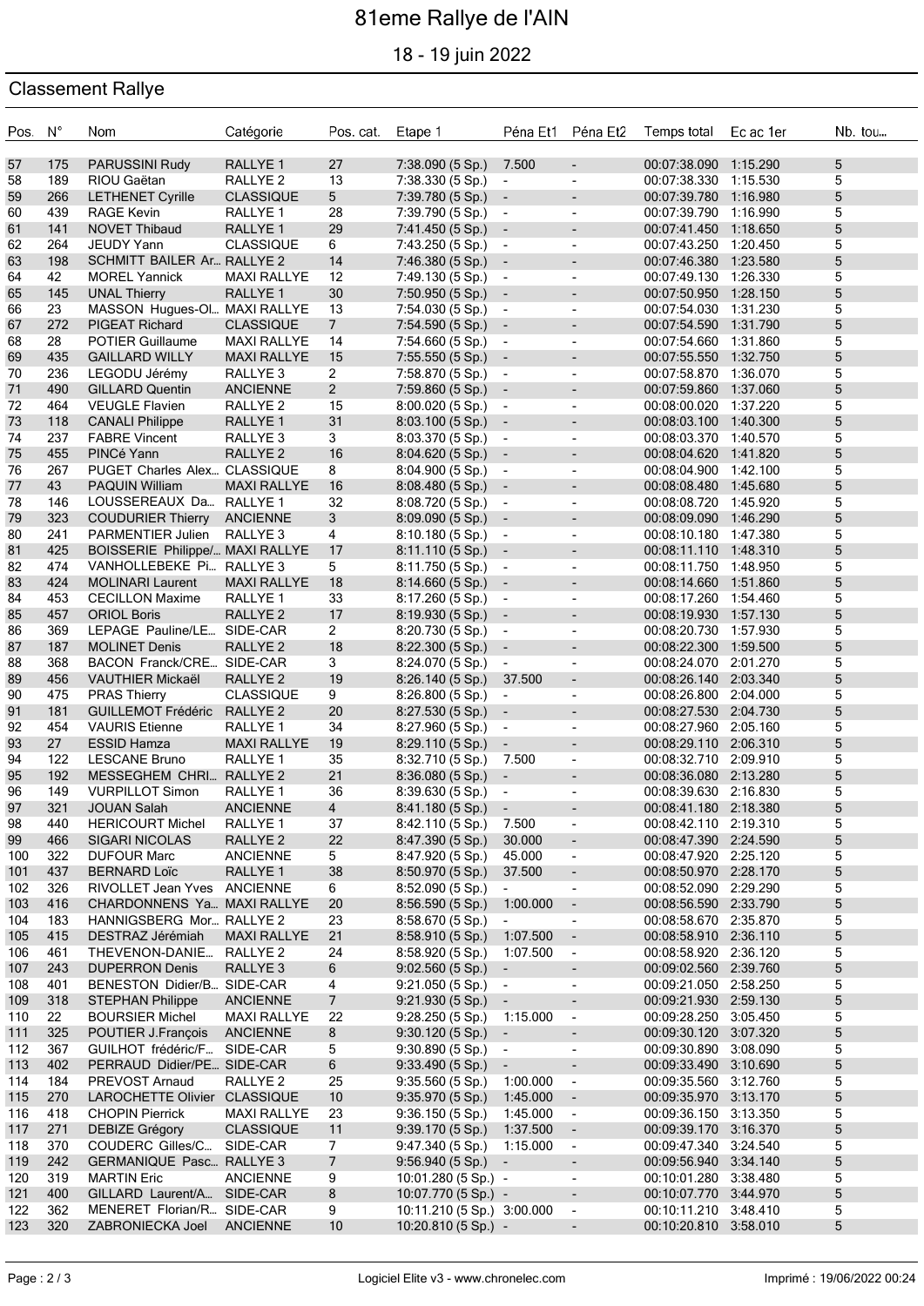# 81eme Rallye de l'AIN

18 - 19 juin 2022

### Classement Rallye

| Pos. N°    |            | Nom                                                   | Catégorie                                 | Pos. cat.                        | Etape 1                                |                                            |                                                      | Péna Et1 Péna Et2 Temps total                  | Ec ac 1er | Nb. tou |
|------------|------------|-------------------------------------------------------|-------------------------------------------|----------------------------------|----------------------------------------|--------------------------------------------|------------------------------------------------------|------------------------------------------------|-----------|---------|
| 57         | 175        | PARUSSINI Rudy                                        | RALLYE <sub>1</sub>                       | 27                               | 7:38.090(5 Sp.)                        | 7.500                                      | $\blacksquare$                                       | 00:07:38.090 1:15.290                          |           | 5       |
| 58         | 189        | RIOU Gaëtan                                           | RALLYE <sub>2</sub>                       | 13                               | 7:38.330 (5 Sp.)                       | $\blacksquare$                             | $\overline{\phantom{a}}$                             | 00:07:38.330 1:15.530                          |           | 5       |
| 59         | 266        | <b>LETHENET Cyrille</b>                               | <b>CLASSIQUE</b>                          | 5 <sup>5</sup>                   | 7:39.780 (5 Sp.)                       | $\overline{\phantom{a}}$                   | $\overline{\phantom{a}}$                             | 00:07:39.780 1:16.980                          |           | 5       |
| 60         | 439        | <b>RAGE Kevin</b>                                     | RALLYE <sub>1</sub>                       | 28                               | 7:39.790 (5 Sp.)                       | $\blacksquare$                             | $\blacksquare$                                       | 00:07:39.790 1:16.990                          |           | 5       |
| 61         | 141        | <b>NOVET Thibaud</b>                                  | RALLYE <sub>1</sub>                       | 29                               | 7:41.450 (5 Sp.)                       | $\overline{\phantom{a}}$                   | $\overline{\phantom{a}}$                             | 00:07:41.450 1:18.650                          |           | 5       |
| 62         | 264        | JEUDY Yann                                            | <b>CLASSIQUE</b>                          | 6                                | 7:43.250 (5 Sp.)                       | $\blacksquare$                             | $\overline{\phantom{a}}$                             | 00:07:43.250 1:20.450                          |           | 5       |
| 63         | 198        | SCHMITT BAILER Ar RALLYE 2                            |                                           | 14                               | 7:46.380 (5 Sp.)                       | $\sim$                                     | $\overline{\phantom{a}}$                             | 00:07:46.380 1:23.580                          |           | 5       |
| 64         | 42         | <b>MOREL Yannick</b>                                  | <b>MAXI RALLYE</b>                        | 12                               | 7:49.130 (5 Sp.)                       | $\overline{\phantom{a}}$                   | $\overline{\phantom{a}}$                             | 00:07:49.130 1:26.330                          |           | 5       |
| 65         | 145<br>23  | <b>UNAL Thierry</b>                                   | RALLYE <sub>1</sub>                       | 30                               | $7:50.950(5 Sp.)$ -                    |                                            | $\blacksquare$                                       | 00:07:50.950 1:28.150                          |           | 5       |
| 66<br>67   | 272        | MASSON Hugues-Ol MAXI RALLYE<br><b>PIGEAT Richard</b> | <b>CLASSIQUE</b>                          | 13<br>7 <sup>1</sup>             | 7:54.030 (5 Sp.)<br>7:54.590(5 Sp.)    | $\blacksquare$<br>$\sim$                   | $\overline{\phantom{a}}$<br>$\overline{\phantom{a}}$ | 00:07:54.030 1:31.230<br>00:07:54.590 1:31.790 |           | 5<br>5  |
| 68         | 28         | POTIER Guillaume                                      | <b>MAXI RALLYE</b>                        | 14                               | 7:54.660(5 Sp.)                        | $\blacksquare$                             | $\overline{\phantom{a}}$                             | 00:07:54.660 1:31.860                          |           | 5       |
| 69         | 435        | <b>GAILLARD WILLY</b>                                 | <b>MAXI RALLYE</b>                        | 15                               | $7:55.550(5 Sp.)$ -                    |                                            | $\blacksquare$                                       | 00:07:55.550 1:32.750                          |           | 5       |
| 70         | 236        | LEGODU Jérémy                                         | RALLYE 3                                  | $\overline{2}$                   | 7:58.870 (5 Sp.)                       | $\blacksquare$                             | $\overline{\phantom{a}}$                             | 00:07:58.870 1:36.070                          |           | 5       |
| 71         | 490        | <b>GILLARD Quentin</b>                                | <b>ANCIENNE</b>                           | $2^{\circ}$                      | 7:59.860(5 Sp.)                        | $\overline{\phantom{a}}$                   | $\overline{\phantom{a}}$                             | 00:07:59.860 1:37.060                          |           | 5       |
| 72         | 464        | <b>VEUGLE Flavien</b>                                 | RALLYE <sub>2</sub>                       | 15                               | 8:00.020 (5 Sp.)                       | $\blacksquare$                             | $\overline{\phantom{a}}$                             | 00:08:00.020 1:37.220                          |           | 5       |
| 73         | 118        | <b>CANALI Philippe</b>                                | RALLYE <sub>1</sub>                       | 31                               | 8:03.100(5 Sp.)                        | $\overline{\phantom{a}}$                   | $\overline{\phantom{a}}$                             | 00:08:03.100 1:40.300                          |           | 5       |
| 74         | 237        | <b>FABRE Vincent</b>                                  | RALLYE 3                                  | 3                                | 8:03.370(5 Sp.)                        | $\blacksquare$                             | $\overline{\phantom{a}}$                             | 00:08:03.370 1:40.570                          |           | 5       |
| 75         | 455        | PINCé Yann                                            | RALLYE <sub>2</sub>                       | 16                               | 8:04.620 (5 Sp.)                       | $\overline{\phantom{a}}$                   | $\overline{\phantom{a}}$                             | 00:08:04.620 1:41.820                          |           | 5       |
| 76         | 267        | PUGET Charles Alex CLASSIQUE                          |                                           | 8                                | 8:04.900(5 Sp.)                        | $\overline{\phantom{a}}$                   | $\sim$                                               | 00:08:04.900 1:42.100                          |           | 5       |
| 77         | 43         | <b>PAQUIN William</b>                                 | <b>MAXI RALLYE</b>                        | 16                               | 8:08.480(5 Sp.)                        | $\overline{\phantom{a}}$                   | $\overline{\phantom{a}}$                             | 00:08:08.480 1:45.680                          |           | 5       |
| 78         | 146        | LOUSSEREAUX Da RALLYE 1                               |                                           | 32                               | 8:08.720(5 Sp.)                        | $\blacksquare$                             | $\overline{\phantom{a}}$                             | 00:08:08.720 1:45.920                          |           | 5       |
| 79<br>80   | 323<br>241 | <b>COUDURIER Thierry</b><br><b>PARMENTIER Julien</b>  | ANCIENNE<br>RALLYE 3                      | 3 <sup>1</sup><br>$\overline{4}$ | 8:09.090 (5 Sp.)<br>8:10.180(5 Sp.)    | $\overline{\phantom{a}}$<br>$\blacksquare$ | $\overline{\phantom{a}}$<br>$\sim$                   | 00:08:09.090 1:46.290<br>00:08:10.180 1:47.380 |           | 5<br>5  |
| 81         | 425        | BOISSERIE Philippe/ MAXI RALLYE                       |                                           | 17                               | 8:11.110 (5 Sp.)                       | $\overline{\phantom{a}}$                   | $\overline{\phantom{a}}$                             | 00:08:11.110 1:48.310                          |           | 5       |
| 82         | 474        | VANHOLLEBEKE Pi RALLYE 3                              |                                           | 5                                | 8:11.750(5 Sp.)                        | $\blacksquare$                             | $\overline{\phantom{a}}$                             | 00:08:11.750 1:48.950                          |           | 5       |
| 83         | 424        | <b>MOLINARI Laurent</b>                               | <b>MAXI RALLYE</b>                        | 18                               | 8:14.660(5 Sp.)                        | $\overline{\phantom{a}}$                   | $\overline{\phantom{a}}$                             | 00:08:14.660 1:51.860                          |           | 5       |
| 84         | 453        | <b>CECILLON Maxime</b>                                | RALLYE 1                                  | 33                               | 8:17.260(5 Sp.)                        | $\blacksquare$                             | $\overline{\phantom{a}}$                             | 00:08:17.260 1:54.460                          |           | 5       |
| 85         | 457        | <b>ORIOL Boris</b>                                    | RALLYE <sub>2</sub>                       | 17                               | $8:19.930(5 Sp.)$ -                    |                                            | $\overline{\phantom{a}}$                             | 00:08:19.930 1:57.130                          |           | 5       |
| 86         | 369        | LEPAGE Pauline/LE SIDE-CAR                            |                                           | $\mathbf{2}$                     | 8:20.730(5 Sp.)                        | $\overline{\phantom{a}}$                   | $\overline{\phantom{a}}$                             | 00:08:20.730 1:57.930                          |           | 5       |
| 87         | 187        | <b>MOLINET Denis</b>                                  | RALLYE <sub>2</sub>                       | 18                               | 8:22.300 (5 Sp.) -                     |                                            | $\blacksquare$                                       | 00:08:22.300 1:59.500                          |           | 5       |
| 88         | 368        | BACON Franck/CRE SIDE-CAR                             |                                           | 3 <sup>1</sup>                   | 8:24.070(5 Sp.)                        | $\blacksquare$                             | $\overline{\phantom{a}}$                             | 00:08:24.070 2:01.270                          |           | 5       |
| 89         | 456        | <b>VAUTHIER Mickaël</b>                               | RALLYE <sub>2</sub>                       | 19                               | 8:26.140(5 Sp.)                        | 37.500                                     | $\overline{\phantom{a}}$                             | 00:08:26.140 2:03.340                          |           | 5       |
| 90         | 475        | <b>PRAS Thierry</b>                                   | <b>CLASSIQUE</b>                          | 9                                | 8:26.800(5 Sp.)                        | $\overline{\phantom{a}}$                   | $\overline{\phantom{a}}$                             | 00:08:26.800 2:04.000                          |           | 5       |
| 91         | 181        | <b>GUILLEMOT Frédéric</b>                             | RALLYE 2                                  | 20                               | $8:27.530(5 Sp.)$ -                    |                                            | $\blacksquare$                                       | 00:08:27.530 2:04.730                          |           | 5       |
| 92         | 454        | <b>VAURIS</b> Etienne                                 | RALLYE 1                                  | 34                               | 8:27.960(5 Sp.)                        | $\sim$                                     | $\overline{\phantom{a}}$                             | 00:08:27.960 2:05.160<br>00:08:29.110 2:06.310 |           | 5<br>5  |
| 93<br>94   | 27<br>122  | <b>ESSID Hamza</b><br><b>LESCANE Bruno</b>            | <b>MAXI RALLYE</b><br>RALLYE <sub>1</sub> | 19<br>35                         | 8:29.110(5 Sp.)<br>8:32.710(5 Sp.)     | $\overline{\phantom{a}}$<br>7.500          | $\overline{\phantom{a}}$<br>$\blacksquare$           | 00:08:32.710 2:09.910                          |           | 5       |
| 95         | 192        | MESSEGHEM CHRI RALLYE 2                               |                                           | 21                               | 8:36.080(5 Sp.)                        | $\overline{\phantom{a}}$                   | $\overline{\phantom{a}}$                             | 00:08:36.080 2:13.280                          |           | 5       |
| 96         | 149        | <b>VURPILLOT Simon</b>                                | RALLYE 1                                  | 36                               | 8:39.630(5 Sp.)                        | $\blacksquare$                             | $\overline{\phantom{a}}$                             | 00:08:39.630 2:16.830                          |           | 5       |
| 97         | 321        | <b>JOUAN Salah</b>                                    | <b>ANCIENNE</b>                           | $\overline{4}$                   | $8:41.180(5 Sp.)$ -                    |                                            |                                                      | 00:08:41.180 2:18.380                          |           | 5       |
| 98         | 440        | <b>HERICOURT Michel</b>                               | RALLYE <sub>1</sub>                       | 37                               | 8:42.110 (5 Sp.)                       | 7.500                                      | $\overline{\phantom{a}}$                             | 00:08:42.110 2:19.310                          |           | 5       |
| 99         | 466        | <b>SIGARI NICOLAS</b>                                 | RALLYE <sub>2</sub>                       | 22                               | 8:47.390 (5 Sp.)                       | 30.000                                     | $\blacksquare$                                       | 00:08:47.390 2:24.590                          |           | 5       |
| 100        | 322        | <b>DUFOUR Marc</b>                                    | <b>ANCIENNE</b>                           | 5                                | 8:47.920 (5 Sp.)                       | 45.000                                     | $\blacksquare$                                       | 00:08:47.920 2:25.120                          |           | 5       |
| 101        | 437        | <b>BERNARD Loïc</b>                                   | RALLYE <sub>1</sub>                       | 38                               | 8:50.970 (5 Sp.)                       | 37.500                                     | $\overline{\phantom{a}}$                             | 00:08:50.970 2:28.170                          |           | 5       |
| 102        | 326        | RIVOLLET Jean Yves ANCIENNE                           |                                           | 6                                | 8:52.090(5 Sp.)                        | $\blacksquare$                             | $\overline{\phantom{a}}$                             | 00:08:52.090 2:29.290                          |           | 5       |
| 103        | 416        | CHARDONNENS Ya MAXI RALLYE                            |                                           | 20                               | 8:56.590(5 Sp.)                        | 1:00.000                                   | $\overline{\phantom{a}}$                             | 00:08:56.590 2:33.790                          |           | 5       |
| 104        | 183        | HANNIGSBERG Mor RALLYE 2<br>DESTRAZ Jérémiah          |                                           | 23                               | 8:58.670 (5 Sp.)                       | $\blacksquare$<br>1:07.500                 | $\overline{\phantom{a}}$                             | 00:08:58.670 2:35.870<br>00:08:58.910 2:36.110 |           | 5       |
| 105<br>106 | 415<br>461 | THEVENON-DANIE                                        | <b>MAXI RALLYE</b><br>RALLYE <sub>2</sub> | 21<br>24                         | 8:58.910 (5 Sp.)<br>8:58.920 (5 Sp.)   | 1:07.500                                   | $\overline{\phantom{a}}$<br>$\blacksquare$           | 00:08:58.920 2:36.120                          |           | 5<br>5  |
| 107        | 243        | <b>DUPERRON Denis</b>                                 | RALLYE 3                                  | 6                                | 9:02.560(5 Sp.)                        | $\blacksquare$                             | $\overline{\phantom{a}}$                             | 00:09:02.560 2:39.760                          |           | 5       |
| 108        | 401        | BENESTON Didier/B SIDE-CAR                            |                                           | 4                                | 9:21.050(5 Sp.)                        | $\overline{\phantom{a}}$                   | $\overline{\phantom{a}}$                             | 00:09:21.050 2:58.250                          |           | 5       |
| 109        | 318        | <b>STEPHAN Philippe</b>                               | <b>ANCIENNE</b>                           | $7\overline{ }$                  | $9:21.930(5 Sp.)$ -                    |                                            | $\overline{\phantom{a}}$                             | 00:09:21.930 2:59.130                          |           | 5       |
| 110        | 22         | <b>BOURSIER Michel</b>                                | <b>MAXI RALLYE</b>                        | 22                               | 9:28.250(5 Sp.)                        | 1:15.000                                   | $\overline{\phantom{a}}$                             | 00:09:28.250 3:05.450                          |           | 5       |
| 111        | 325        | POUTIER J.François                                    | <b>ANCIENNE</b>                           | 8                                | 9:30.120(5 Sp.)                        | $\overline{\phantom{a}}$                   | ٠                                                    | 00:09:30.120 3:07.320                          |           | 5       |
| 112        | 367        | GUILHOT frédéric/F SIDE-CAR                           |                                           | 5                                | 9:30.890(5 Sp.)                        | $\blacksquare$                             | $\overline{\phantom{a}}$                             | 00:09:30.890 3:08.090                          |           | 5       |
| 113        | 402        | PERRAUD Didier/PE SIDE-CAR                            |                                           | $6\phantom{.}$                   | $9:33.490(5 Sp.)$ -                    |                                            | $\overline{\phantom{a}}$                             | 00:09:33.490 3:10.690                          |           | 5       |
| 114        | 184        | PREVOST Arnaud                                        | RALLYE <sub>2</sub>                       | 25                               | 9:35.560(5 Sp.)                        | 1:00.000                                   | $\blacksquare$                                       | 00:09:35.560 3:12.760                          |           | 5       |
| 115        | 270        | LAROCHETTE Olivier CLASSIQUE                          |                                           | 10                               | 9:35.970(5 Sp.)                        | 1:45.000                                   | $\overline{\phantom{a}}$                             | 00:09:35.970 3:13.170                          |           | 5       |
| 116        | 418        | <b>CHOPIN Pierrick</b>                                | <b>MAXI RALLYE</b>                        | 23                               | 9:36.150 (5 Sp.)                       | 1:45.000                                   | $\blacksquare$                                       | 00:09:36.150 3:13.350                          |           | 5       |
| 117        | 271        | DEBIZE Grégory                                        | <b>CLASSIQUE</b>                          | 11                               | 9:39.170(5 Sp.)                        | 1:37.500                                   | $\sim$                                               | 00:09:39.170 3:16.370                          |           | 5       |
| 118        | 370<br>242 | COUDERC Gilles/C<br><b>GERMANIQUE Pasc RALLYE 3</b>   | SIDE-CAR                                  | 7<br>$\overline{7}$              | 9:47.340(5 Sp.)                        | 1:15.000                                   | $\overline{\phantom{a}}$                             | 00:09:47.340 3:24.540<br>00:09:56.940 3:34.140 |           | 5       |
| 119<br>120 | 319        | <b>MARTIN Eric</b>                                    | <b>ANCIENNE</b>                           | 9                                | 9:56.940(5 Sp.)<br>10:01.280 (5 Sp.) - | $\overline{\phantom{a}}$                   | $\overline{\phantom{a}}$<br>$\overline{\phantom{a}}$ | 00:10:01.280 3:38.480                          |           | 5<br>5  |
| 121        | 400        | GILLARD Laurent/A SIDE-CAR                            |                                           | 8                                | 10:07.770 (5 Sp.) -                    |                                            | $\overline{\phantom{a}}$                             | 00:10:07.770 3:44.970                          |           | 5       |
| 122        | 362        | MENERET Florian/R SIDE-CAR                            |                                           | 9                                | 10:11.210 (5 Sp.) 3:00.000             |                                            | $\overline{\phantom{a}}$                             | 00:10:11.210 3:48.410                          |           | 5       |
| 123        | 320        | ZABRONIECKA Joel                                      | <b>ANCIENNE</b>                           | 10                               | 10:20.810 (5 Sp.) -                    |                                            | $\overline{\phantom{a}}$                             | 00:10:20.810 3:58.010                          |           | 5       |
|            |            |                                                       |                                           |                                  |                                        |                                            |                                                      |                                                |           |         |